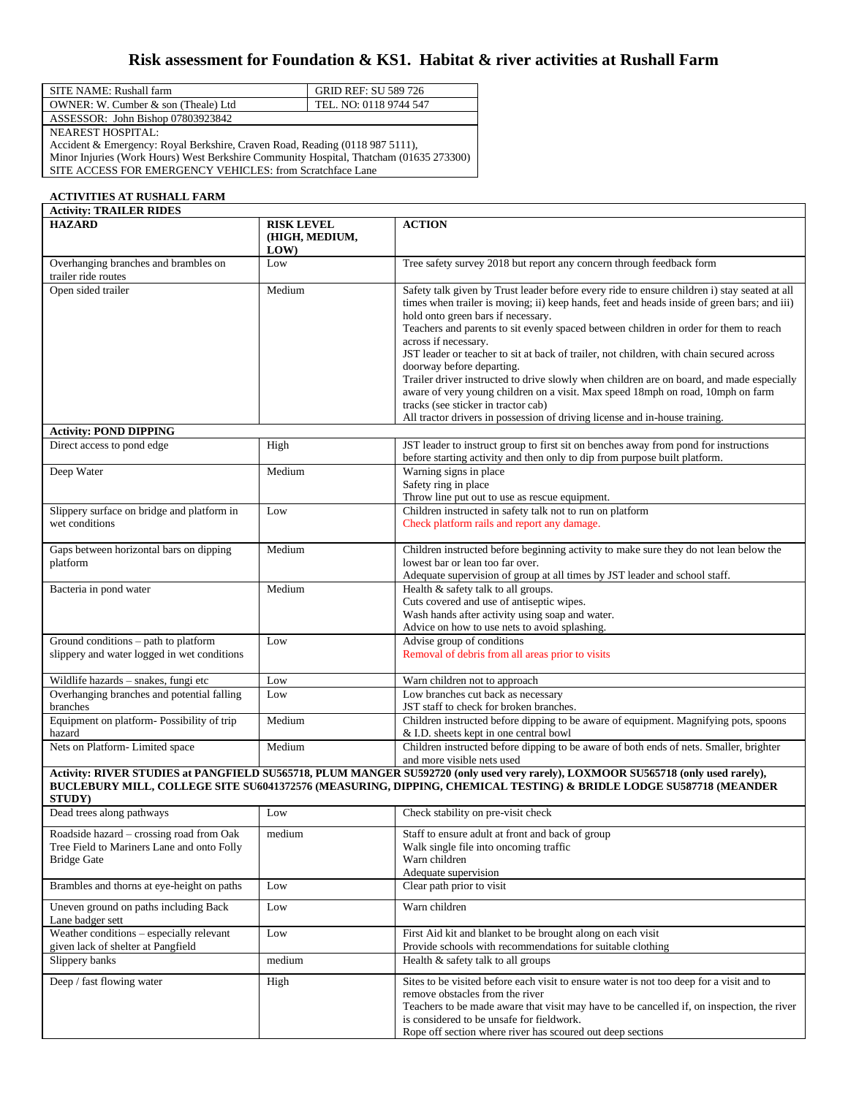## **Risk assessment for Foundation & KS1. Habitat & river activities at Rushall Farm**

| SITE NAME: Rushall farm             | <b>GRID REF: SU 589 726</b> |
|-------------------------------------|-----------------------------|
| OWNER: W. Cumber & son (Theale) Ltd | TEL. NO: 0118 9744 547      |
| ASSESSOR: John Bishop 07803923842   |                             |
| <b>NEAREST HOSPITAL:</b>            |                             |

Accident & Emergency: Royal Berkshire, Craven Road, Reading (0118 987 5111), Minor Injuries (Work Hours) West Berkshire Community Hospital, Thatcham (01635 273300) SITE ACCESS FOR EMERGENCY VEHICLES: from Scratchface Lane

## **ACTIVITIES AT RUSHALL FARM**

| <b>Activity: TRAILER RIDES</b>                                                                               |                                            |                                                                                                                                                                                                                                                                                                                                                                                                                                                                                                                                                                                                                                                                                                                                                                                   |
|--------------------------------------------------------------------------------------------------------------|--------------------------------------------|-----------------------------------------------------------------------------------------------------------------------------------------------------------------------------------------------------------------------------------------------------------------------------------------------------------------------------------------------------------------------------------------------------------------------------------------------------------------------------------------------------------------------------------------------------------------------------------------------------------------------------------------------------------------------------------------------------------------------------------------------------------------------------------|
| <b>HAZARD</b>                                                                                                | <b>RISK LEVEL</b><br>(HIGH, MEDIUM,<br>LOW | <b>ACTION</b>                                                                                                                                                                                                                                                                                                                                                                                                                                                                                                                                                                                                                                                                                                                                                                     |
| Overhanging branches and brambles on<br>trailer ride routes                                                  | Low                                        | Tree safety survey 2018 but report any concern through feedback form                                                                                                                                                                                                                                                                                                                                                                                                                                                                                                                                                                                                                                                                                                              |
| Open sided trailer                                                                                           | Medium                                     | Safety talk given by Trust leader before every ride to ensure children i) stay seated at all<br>times when trailer is moving; ii) keep hands, feet and heads inside of green bars; and iii)<br>hold onto green bars if necessary.<br>Teachers and parents to sit evenly spaced between children in order for them to reach<br>across if necessary.<br>JST leader or teacher to sit at back of trailer, not children, with chain secured across<br>doorway before departing.<br>Trailer driver instructed to drive slowly when children are on board, and made especially<br>aware of very young children on a visit. Max speed 18mph on road, 10mph on farm<br>tracks (see sticker in tractor cab)<br>All tractor drivers in possession of driving license and in-house training. |
| <b>Activity: POND DIPPING</b>                                                                                |                                            |                                                                                                                                                                                                                                                                                                                                                                                                                                                                                                                                                                                                                                                                                                                                                                                   |
| Direct access to pond edge                                                                                   | High                                       | JST leader to instruct group to first sit on benches away from pond for instructions<br>before starting activity and then only to dip from purpose built platform.                                                                                                                                                                                                                                                                                                                                                                                                                                                                                                                                                                                                                |
| Deep Water                                                                                                   | Medium                                     | Warning signs in place<br>Safety ring in place<br>Throw line put out to use as rescue equipment.                                                                                                                                                                                                                                                                                                                                                                                                                                                                                                                                                                                                                                                                                  |
| Slippery surface on bridge and platform in<br>wet conditions                                                 | Low                                        | Children instructed in safety talk not to run on platform<br>Check platform rails and report any damage.                                                                                                                                                                                                                                                                                                                                                                                                                                                                                                                                                                                                                                                                          |
| Gaps between horizontal bars on dipping<br>platform                                                          | Medium                                     | Children instructed before beginning activity to make sure they do not lean below the<br>lowest bar or lean too far over.<br>Adequate supervision of group at all times by JST leader and school staff.                                                                                                                                                                                                                                                                                                                                                                                                                                                                                                                                                                           |
| Bacteria in pond water                                                                                       | Medium                                     | Health & safety talk to all groups.<br>Cuts covered and use of antiseptic wipes.<br>Wash hands after activity using soap and water.<br>Advice on how to use nets to avoid splashing.                                                                                                                                                                                                                                                                                                                                                                                                                                                                                                                                                                                              |
| Ground conditions - path to platform<br>slippery and water logged in wet conditions                          | Low                                        | Advise group of conditions<br>Removal of debris from all areas prior to visits                                                                                                                                                                                                                                                                                                                                                                                                                                                                                                                                                                                                                                                                                                    |
| Wildlife hazards - snakes, fungi etc                                                                         | Low                                        | Warn children not to approach                                                                                                                                                                                                                                                                                                                                                                                                                                                                                                                                                                                                                                                                                                                                                     |
| Overhanging branches and potential falling<br>branches                                                       | Low                                        | Low branches cut back as necessary<br>JST staff to check for broken branches.                                                                                                                                                                                                                                                                                                                                                                                                                                                                                                                                                                                                                                                                                                     |
| Equipment on platform-Possibility of trip<br>hazard                                                          | Medium                                     | Children instructed before dipping to be aware of equipment. Magnifying pots, spoons<br>& I.D. sheets kept in one central bowl                                                                                                                                                                                                                                                                                                                                                                                                                                                                                                                                                                                                                                                    |
| Nets on Platform-Limited space                                                                               | Medium                                     | Children instructed before dipping to be aware of both ends of nets. Smaller, brighter<br>and more visible nets used                                                                                                                                                                                                                                                                                                                                                                                                                                                                                                                                                                                                                                                              |
| <b>STUDY</b> )                                                                                               |                                            | Activity: RIVER STUDIES at PANGFIELD SU565718, PLUM MANGER SU592720 (only used very rarely), LOXMOOR SU565718 (only used rarely),<br>BUCLEBURY MILL, COLLEGE SITE SU6041372576 (MEASURING, DIPPING, CHEMICAL TESTING) & BRIDLE LODGE SU587718 (MEANDER                                                                                                                                                                                                                                                                                                                                                                                                                                                                                                                            |
| Dead trees along pathways                                                                                    | Low                                        | Check stability on pre-visit check                                                                                                                                                                                                                                                                                                                                                                                                                                                                                                                                                                                                                                                                                                                                                |
| Roadside hazard - crossing road from Oak<br>Tree Field to Mariners Lane and onto Folly<br><b>Bridge Gate</b> | medium                                     | Staff to ensure adult at front and back of group<br>Walk single file into oncoming traffic<br>Warn children<br>Adequate supervision                                                                                                                                                                                                                                                                                                                                                                                                                                                                                                                                                                                                                                               |
| Brambles and thorns at eye-height on paths                                                                   | Low                                        | Clear path prior to visit                                                                                                                                                                                                                                                                                                                                                                                                                                                                                                                                                                                                                                                                                                                                                         |
| Uneven ground on paths including Back<br>Lane badger sett                                                    | Low                                        | Warn children                                                                                                                                                                                                                                                                                                                                                                                                                                                                                                                                                                                                                                                                                                                                                                     |
| Weather conditions – especially relevant<br>given lack of shelter at Pangfield                               | Low                                        | First Aid kit and blanket to be brought along on each visit<br>Provide schools with recommendations for suitable clothing                                                                                                                                                                                                                                                                                                                                                                                                                                                                                                                                                                                                                                                         |
| Slippery banks                                                                                               | medium                                     | Health & safety talk to all groups                                                                                                                                                                                                                                                                                                                                                                                                                                                                                                                                                                                                                                                                                                                                                |
| Deep / fast flowing water                                                                                    | High                                       | Sites to be visited before each visit to ensure water is not too deep for a visit and to<br>remove obstacles from the river<br>Teachers to be made aware that visit may have to be cancelled if, on inspection, the river<br>is considered to be unsafe for fieldwork.<br>Rope off section where river has scoured out deep sections                                                                                                                                                                                                                                                                                                                                                                                                                                              |